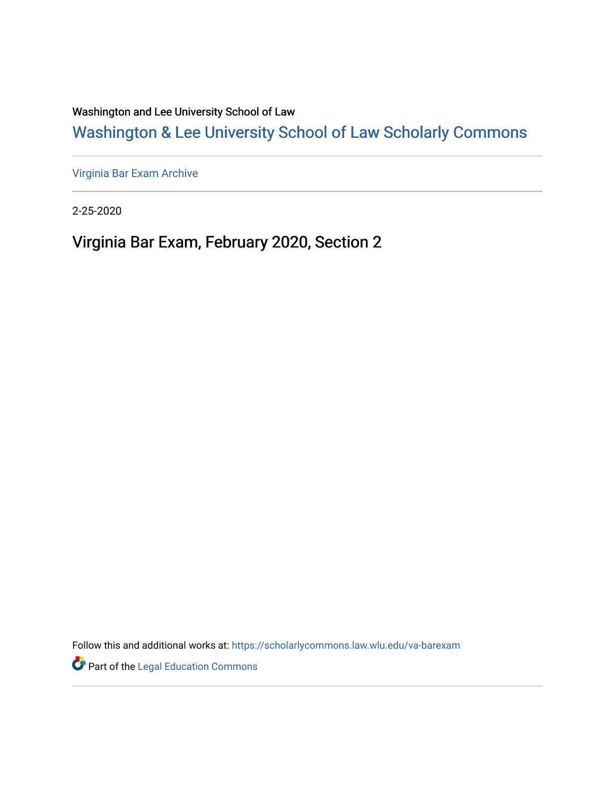Washington and Lee University School of Law

# [Washington & Lee University School of Law Scholarly Commons](https://scholarlycommons.law.wlu.edu/)

[Virginia Bar Exam Archive](https://scholarlycommons.law.wlu.edu/va-barexam)

2-25-2020

# Virginia Bar Exam, February 2020, Section 2

Follow this and additional works at: [https://scholarlycommons.law.wlu.edu/va-barexam](https://scholarlycommons.law.wlu.edu/va-barexam?utm_source=scholarlycommons.law.wlu.edu%2Fva-barexam%2F220&utm_medium=PDF&utm_campaign=PDFCoverPages) 

**Part of the Legal Education Commons**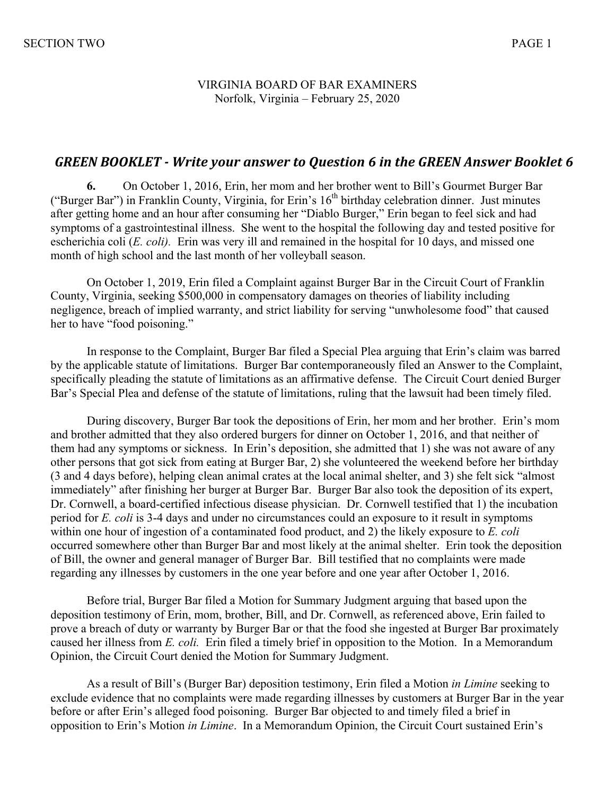#### VIRGINIA BOARD OF BAR EXAMINERS Norfolk, Virginia – February 25, 2020

### GREEN BOOKLET - Write your answer to Ouestion 6 in the GREEN Answer Booklet 6

**6.** On October 1, 2016, Erin, her mom and her brother went to Bill's Gourmet Burger Bar ("Burger Bar") in Franklin County, Virginia, for Erin's 16<sup>th</sup> birthday celebration dinner. Just minutes after getting home and an hour after consuming her "Diablo Burger," Erin began to feel sick and had symptoms of a gastrointestinal illness. She went to the hospital the following day and tested positive for escherichia coli (*E. coli).* Erin was very ill and remained in the hospital for 10 days, and missed one month of high school and the last month of her volleyball season.

On October 1, 2019, Erin filed a Complaint against Burger Bar in the Circuit Court of Franklin County, Virginia, seeking \$500,000 in compensatory damages on theories of liability including negligence, breach of implied warranty, and strict liability for serving "unwholesome food" that caused her to have "food poisoning."

In response to the Complaint, Burger Bar filed a Special Plea arguing that Erin's claim was barred by the applicable statute of limitations. Burger Bar contemporaneously filed an Answer to the Complaint, specifically pleading the statute of limitations as an affirmative defense. The Circuit Court denied Burger Bar's Special Plea and defense of the statute of limitations, ruling that the lawsuit had been timely filed.

During discovery, Burger Bar took the depositions of Erin, her mom and her brother. Erin's mom and brother admitted that they also ordered burgers for dinner on October 1, 2016, and that neither of them had any symptoms or sickness. In Erin's deposition, she admitted that 1) she was not aware of any other persons that got sick from eating at Burger Bar, 2) she volunteered the weekend before her birthday (3 and 4 days before), helping clean animal crates at the local animal shelter, and 3) she felt sick "almost immediately" after finishing her burger at Burger Bar. Burger Bar also took the deposition of its expert, Dr. Cornwell, a board-certified infectious disease physician. Dr. Cornwell testified that 1) the incubation period for *E. coli* is 3-4 days and under no circumstances could an exposure to it result in symptoms within one hour of ingestion of a contaminated food product, and 2) the likely exposure to *E. coli* occurred somewhere other than Burger Bar and most likely at the animal shelter. Erin took the deposition of Bill, the owner and general manager of Burger Bar. Bill testified that no complaints were made regarding any illnesses by customers in the one year before and one year after October 1, 2016.

Before trial, Burger Bar filed a Motion for Summary Judgment arguing that based upon the deposition testimony of Erin, mom, brother, Bill, and Dr. Cornwell, as referenced above, Erin failed to prove a breach of duty or warranty by Burger Bar or that the food she ingested at Burger Bar proximately caused her illness from *E. coli.* Erin filed a timely brief in opposition to the Motion. In a Memorandum Opinion, the Circuit Court denied the Motion for Summary Judgment.

As a result of Bill's (Burger Bar) deposition testimony, Erin filed a Motion *in Limine* seeking to exclude evidence that no complaints were made regarding illnesses by customers at Burger Bar in the year before or after Erin's alleged food poisoning. Burger Bar objected to and timely filed a brief in opposition to Erin's Motion *in Limine*. In a Memorandum Opinion, the Circuit Court sustained Erin's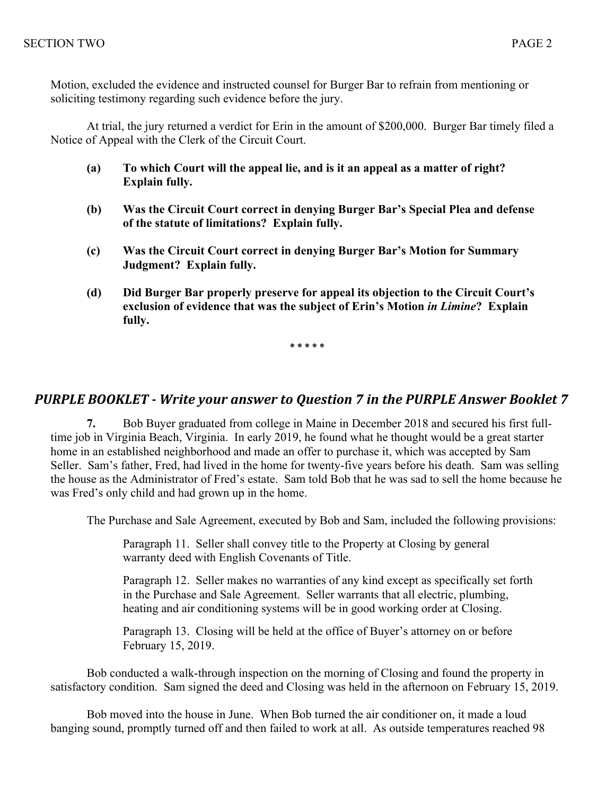Motion, excluded the evidence and instructed counsel for Burger Bar to refrain from mentioning or soliciting testimony regarding such evidence before the jury.

At trial, the jury returned a verdict for Erin in the amount of \$200,000. Burger Bar timely filed a Notice of Appeal with the Clerk of the Circuit Court.

- **(a) To which Court will the appeal lie, and is it an appeal as a matter of right? Explain fully.**
- **(b) Was the Circuit Court correct in denying Burger Bar's Special Plea and defense of the statute of limitations? Explain fully.**
- **(c) Was the Circuit Court correct in denying Burger Bar's Motion for Summary Judgment? Explain fully.**
- **(d) Did Burger Bar properly preserve for appeal its objection to the Circuit Court's exclusion of evidence that was the subject of Erin's Motion** *in Limine***? Explain fully.**

**\* \* \* \* \***

## **PURPLE BOOKLET** - Write your answer to Question 7 in the PURPLE Answer Booklet 7

**7.** Bob Buyer graduated from college in Maine in December 2018 and secured his first fulltime job in Virginia Beach, Virginia. In early 2019, he found what he thought would be a great starter home in an established neighborhood and made an offer to purchase it, which was accepted by Sam Seller. Sam's father, Fred, had lived in the home for twenty-five years before his death. Sam was selling the house as the Administrator of Fred's estate. Sam told Bob that he was sad to sell the home because he was Fred's only child and had grown up in the home.

The Purchase and Sale Agreement, executed by Bob and Sam, included the following provisions:

Paragraph 11. Seller shall convey title to the Property at Closing by general warranty deed with English Covenants of Title.

Paragraph 12. Seller makes no warranties of any kind except as specifically set forth in the Purchase and Sale Agreement. Seller warrants that all electric, plumbing, heating and air conditioning systems will be in good working order at Closing.

Paragraph 13. Closing will be held at the office of Buyer's attorney on or before February 15, 2019.

Bob conducted a walk-through inspection on the morning of Closing and found the property in satisfactory condition. Sam signed the deed and Closing was held in the afternoon on February 15, 2019.

Bob moved into the house in June. When Bob turned the air conditioner on, it made a loud banging sound, promptly turned off and then failed to work at all. As outside temperatures reached 98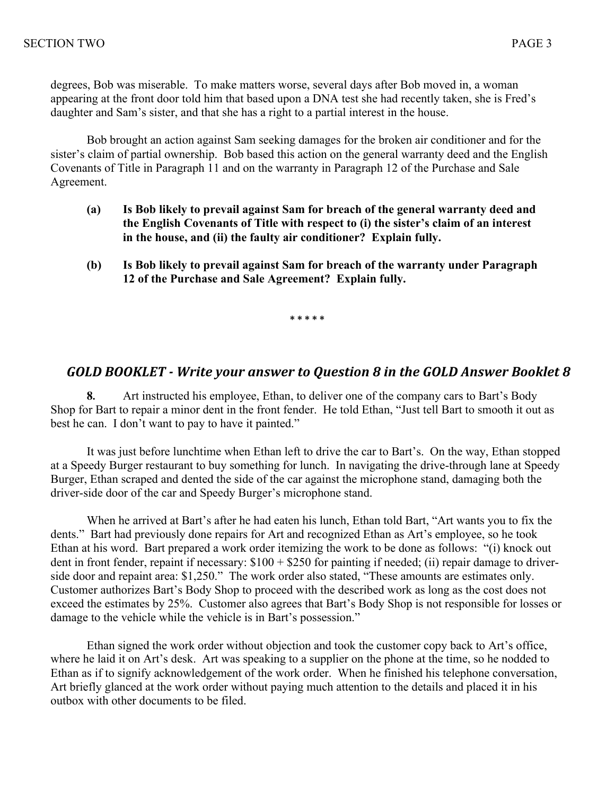degrees, Bob was miserable. To make matters worse, several days after Bob moved in, a woman appearing at the front door told him that based upon a DNA test she had recently taken, she is Fred's daughter and Sam's sister, and that she has a right to a partial interest in the house.

Bob brought an action against Sam seeking damages for the broken air conditioner and for the sister's claim of partial ownership. Bob based this action on the general warranty deed and the English Covenants of Title in Paragraph 11 and on the warranty in Paragraph 12 of the Purchase and Sale Agreement.

- **(a) Is Bob likely to prevail against Sam for breach of the general warranty deed and the English Covenants of Title with respect to (i) the sister's claim of an interest in the house, and (ii) the faulty air conditioner? Explain fully.**
- **(b) Is Bob likely to prevail against Sam for breach of the warranty under Paragraph 12 of the Purchase and Sale Agreement? Explain fully.**

**\* \* \* \* \***

#### GOLD BOOKLET - Write your answer to Question 8 in the GOLD Answer Booklet 8

**8.** Art instructed his employee, Ethan, to deliver one of the company cars to Bart's Body Shop for Bart to repair a minor dent in the front fender. He told Ethan, "Just tell Bart to smooth it out as best he can. I don't want to pay to have it painted."

It was just before lunchtime when Ethan left to drive the car to Bart's. On the way, Ethan stopped at a Speedy Burger restaurant to buy something for lunch. In navigating the drive-through lane at Speedy Burger, Ethan scraped and dented the side of the car against the microphone stand, damaging both the driver-side door of the car and Speedy Burger's microphone stand.

When he arrived at Bart's after he had eaten his lunch, Ethan told Bart, "Art wants you to fix the dents." Bart had previously done repairs for Art and recognized Ethan as Art's employee, so he took Ethan at his word. Bart prepared a work order itemizing the work to be done as follows: "(i) knock out dent in front fender, repaint if necessary: \$100 + \$250 for painting if needed; (ii) repair damage to driverside door and repaint area: \$1,250." The work order also stated, "These amounts are estimates only. Customer authorizes Bart's Body Shop to proceed with the described work as long as the cost does not exceed the estimates by 25%. Customer also agrees that Bart's Body Shop is not responsible for losses or damage to the vehicle while the vehicle is in Bart's possession."

Ethan signed the work order without objection and took the customer copy back to Art's office, where he laid it on Art's desk. Art was speaking to a supplier on the phone at the time, so he nodded to Ethan as if to signify acknowledgement of the work order. When he finished his telephone conversation, Art briefly glanced at the work order without paying much attention to the details and placed it in his outbox with other documents to be filed.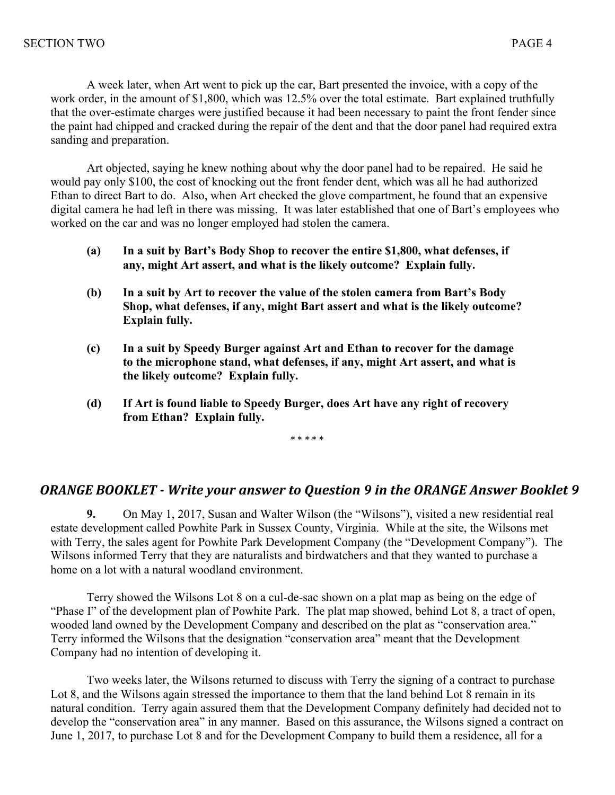A week later, when Art went to pick up the car, Bart presented the invoice, with a copy of the work order, in the amount of \$1,800, which was 12.5% over the total estimate. Bart explained truthfully that the over-estimate charges were justified because it had been necessary to paint the front fender since the paint had chipped and cracked during the repair of the dent and that the door panel had required extra sanding and preparation.

Art objected, saying he knew nothing about why the door panel had to be repaired. He said he would pay only \$100, the cost of knocking out the front fender dent, which was all he had authorized Ethan to direct Bart to do. Also, when Art checked the glove compartment, he found that an expensive digital camera he had left in there was missing. It was later established that one of Bart's employees who worked on the car and was no longer employed had stolen the camera.

- **(a) In a suit by Bart's Body Shop to recover the entire \$1,800, what defenses, if any, might Art assert, and what is the likely outcome? Explain fully.**
- **(b) In a suit by Art to recover the value of the stolen camera from Bart's Body Shop, what defenses, if any, might Bart assert and what is the likely outcome? Explain fully.**
- **(c) In a suit by Speedy Burger against Art and Ethan to recover for the damage to the microphone stand, what defenses, if any, might Art assert, and what is the likely outcome? Explain fully.**
- **(d) If Art is found liable to Speedy Burger, does Art have any right of recovery from Ethan? Explain fully.**

\* \* \* \* \*

## **ORANGE BOOKLET** - Write your answer to Question 9 in the ORANGE Answer Booklet 9

**9.** On May 1, 2017, Susan and Walter Wilson (the "Wilsons"), visited a new residential real estate development called Powhite Park in Sussex County, Virginia. While at the site, the Wilsons met with Terry, the sales agent for Powhite Park Development Company (the "Development Company"). The Wilsons informed Terry that they are naturalists and birdwatchers and that they wanted to purchase a home on a lot with a natural woodland environment.

Terry showed the Wilsons Lot 8 on a cul-de-sac shown on a plat map as being on the edge of "Phase I" of the development plan of Powhite Park. The plat map showed, behind Lot 8, a tract of open, wooded land owned by the Development Company and described on the plat as "conservation area." Terry informed the Wilsons that the designation "conservation area" meant that the Development Company had no intention of developing it.

Two weeks later, the Wilsons returned to discuss with Terry the signing of a contract to purchase Lot 8, and the Wilsons again stressed the importance to them that the land behind Lot 8 remain in its natural condition. Terry again assured them that the Development Company definitely had decided not to develop the "conservation area" in any manner. Based on this assurance, the Wilsons signed a contract on June 1, 2017, to purchase Lot 8 and for the Development Company to build them a residence, all for a